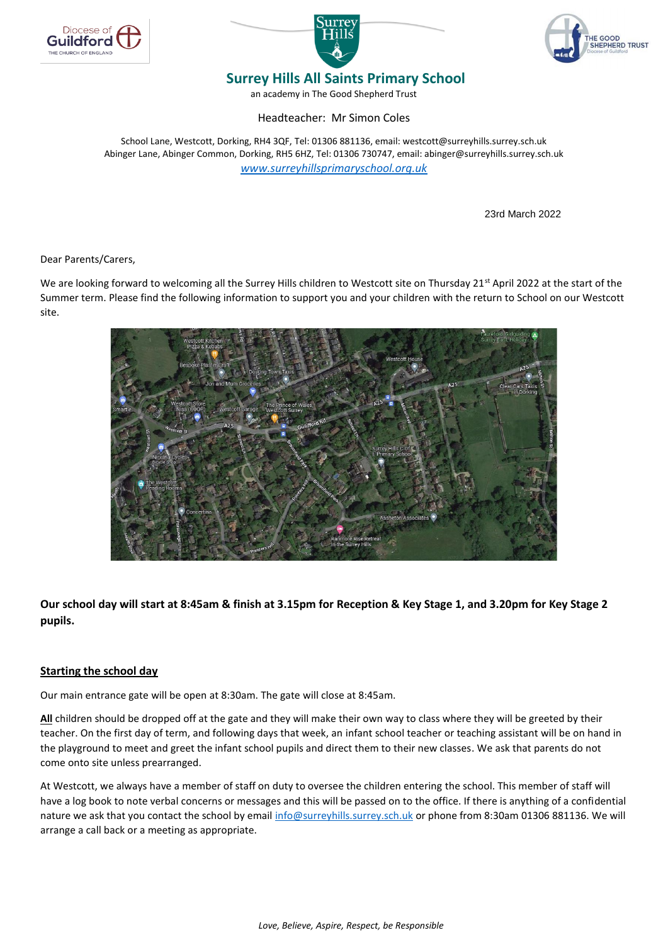





## **Surrey Hills All Saints Primary School**

an academy in The Good Shepherd Trust

Headteacher: Mr Simon Coles

School Lane, Westcott, Dorking, RH4 3QF, Tel: 01306 881136, email: westcott@surreyhills.surrey.sch.uk Abinger Lane, Abinger Common, Dorking, RH5 6HZ, Tel: 01306 730747, email: abinger@surreyhills.surrey.sch.uk *[www.surreyhillsprimaryschool.org.uk](http://www.surreyhillsprimaryschool.org.uk/)*

23rd March 2022

Dear Parents/Carers,

We are looking forward to welcoming all the Surrey Hills children to Westcott site on Thursday 21<sup>st</sup> April 2022 at the start of the Summer term. Please find the following information to support you and your children with the return to School on our Westcott site.



**Our school day will start at 8:45am & finish at 3.15pm for Reception & Key Stage 1, and 3.20pm for Key Stage 2 pupils.**

#### **Starting the school day**

Our main entrance gate will be open at 8:30am. The gate will close at 8:45am.

**All** children should be dropped off at the gate and they will make their own way to class where they will be greeted by their teacher. On the first day of term, and following days that week, an infant school teacher or teaching assistant will be on hand in the playground to meet and greet the infant school pupils and direct them to their new classes. We ask that parents do not come onto site unless prearranged.

At Westcott, we always have a member of staff on duty to oversee the children entering the school. This member of staff will have a log book to note verbal concerns or messages and this will be passed on to the office. If there is anything of a confidential nature we ask that you contact the school by email [info@surreyhills.surrey.sch.uk](mailto:info@surreyhills.surrey.sch.uk) or phone from 8:30am 01306 881136. We will arrange a call back or a meeting as appropriate.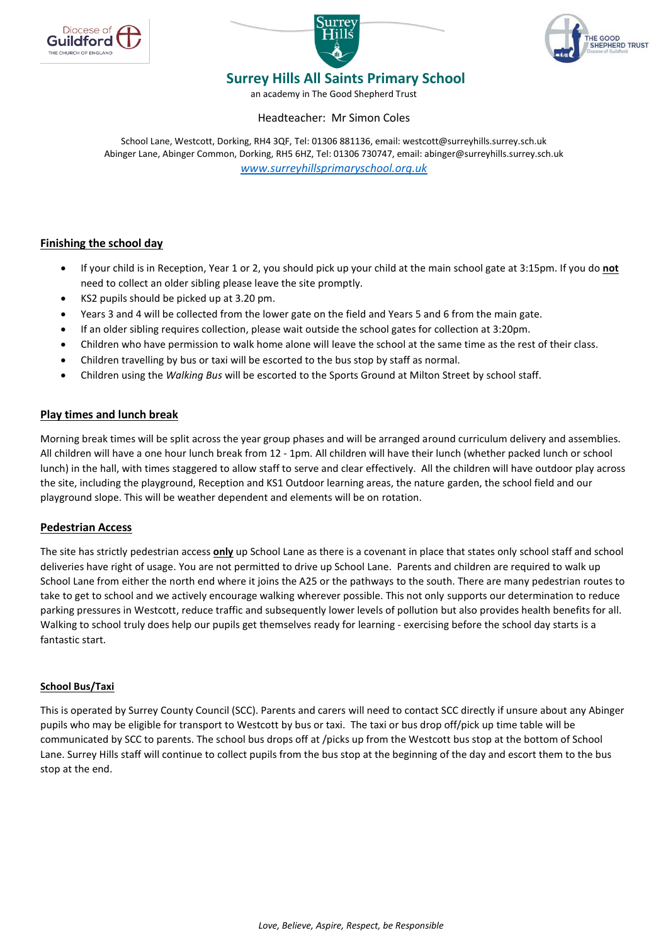





# **Surrey Hills All Saints Primary School**

an academy in The Good Shepherd Trust

#### Headteacher: Mr Simon Coles

School Lane, Westcott, Dorking, RH4 3QF, Tel: 01306 881136, email: westcott@surreyhills.surrey.sch.uk Abinger Lane, Abinger Common, Dorking, RH5 6HZ, Tel: 01306 730747, email: abinger@surreyhills.surrey.sch.uk *[www.surreyhillsprimaryschool.org.uk](http://www.surreyhillsprimaryschool.org.uk/)*

## **Finishing the school day**

- If your child is in Reception, Year 1 or 2, you should pick up your child at the main school gate at 3:15pm. If you do **not** need to collect an older sibling please leave the site promptly.
- KS2 pupils should be picked up at 3.20 pm.
- Years 3 and 4 will be collected from the lower gate on the field and Years 5 and 6 from the main gate.
- If an older sibling requires collection, please wait outside the school gates for collection at 3:20pm.
- Children who have permission to walk home alone will leave the school at the same time as the rest of their class.
- Children travelling by bus or taxi will be escorted to the bus stop by staff as normal.
- Children using the *Walking Bus* will be escorted to the Sports Ground at Milton Street by school staff.

#### **Play times and lunch break**

Morning break times will be split across the year group phases and will be arranged around curriculum delivery and assemblies. All children will have a one hour lunch break from 12 - 1pm. All children will have their lunch (whether packed lunch or school lunch) in the hall, with times staggered to allow staff to serve and clear effectively. All the children will have outdoor play across the site, including the playground, Reception and KS1 Outdoor learning areas, the nature garden, the school field and our playground slope. This will be weather dependent and elements will be on rotation.

#### **Pedestrian Access**

The site has strictly pedestrian access **only** up School Lane as there is a covenant in place that states only school staff and school deliveries have right of usage. You are not permitted to drive up School Lane. Parents and children are required to walk up School Lane from either the north end where it joins the A25 or the pathways to the south. There are many pedestrian routes to take to get to school and we actively encourage walking wherever possible. This not only supports our determination to reduce parking pressures in Westcott, reduce traffic and subsequently lower levels of pollution but also provides health benefits for all. Walking to school truly does help our pupils get themselves ready for learning - exercising before the school day starts is a fantastic start.

#### **School Bus/Taxi**

This is operated by Surrey County Council (SCC). Parents and carers will need to contact SCC directly if unsure about any Abinger pupils who may be eligible for transport to Westcott by bus or taxi. The taxi or bus drop off/pick up time table will be communicated by SCC to parents. The school bus drops off at /picks up from the Westcott bus stop at the bottom of School Lane. Surrey Hills staff will continue to collect pupils from the bus stop at the beginning of the day and escort them to the bus stop at the end.